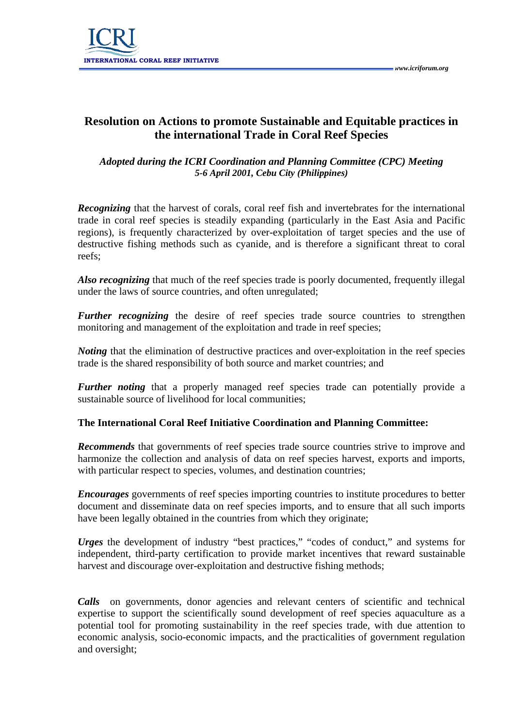

## **Resolution on Actions to promote Sustainable and Equitable practices in the international Trade in Coral Reef Species**

## *Adopted during the ICRI Coordination and Planning Committee (CPC) Meeting 5-6 April 2001, Cebu City (Philippines)*

*Recognizing* that the harvest of corals, coral reef fish and invertebrates for the international trade in coral reef species is steadily expanding (particularly in the East Asia and Pacific regions), is frequently characterized by over-exploitation of target species and the use of destructive fishing methods such as cyanide, and is therefore a significant threat to coral reefs;

Also recognizing that much of the reef species trade is poorly documented, frequently illegal under the laws of source countries, and often unregulated;

*Further recognizing* the desire of reef species trade source countries to strengthen monitoring and management of the exploitation and trade in reef species;

*Noting* that the elimination of destructive practices and over-exploitation in the reef species trade is the shared responsibility of both source and market countries; and

*Further noting* that a properly managed reef species trade can potentially provide a sustainable source of livelihood for local communities;

## **The International Coral Reef Initiative Coordination and Planning Committee:**

*Recommends* that governments of reef species trade source countries strive to improve and harmonize the collection and analysis of data on reef species harvest, exports and imports, with particular respect to species, volumes, and destination countries;

*Encourages* governments of reef species importing countries to institute procedures to better document and disseminate data on reef species imports, and to ensure that all such imports have been legally obtained in the countries from which they originate;

*Urges* the development of industry "best practices," "codes of conduct," and systems for independent, third-party certification to provide market incentives that reward sustainable harvest and discourage over-exploitation and destructive fishing methods;

*Calls* on governments, donor agencies and relevant centers of scientific and technical expertise to support the scientifically sound development of reef species aquaculture as a potential tool for promoting sustainability in the reef species trade, with due attention to economic analysis, socio-economic impacts, and the practicalities of government regulation and oversight;